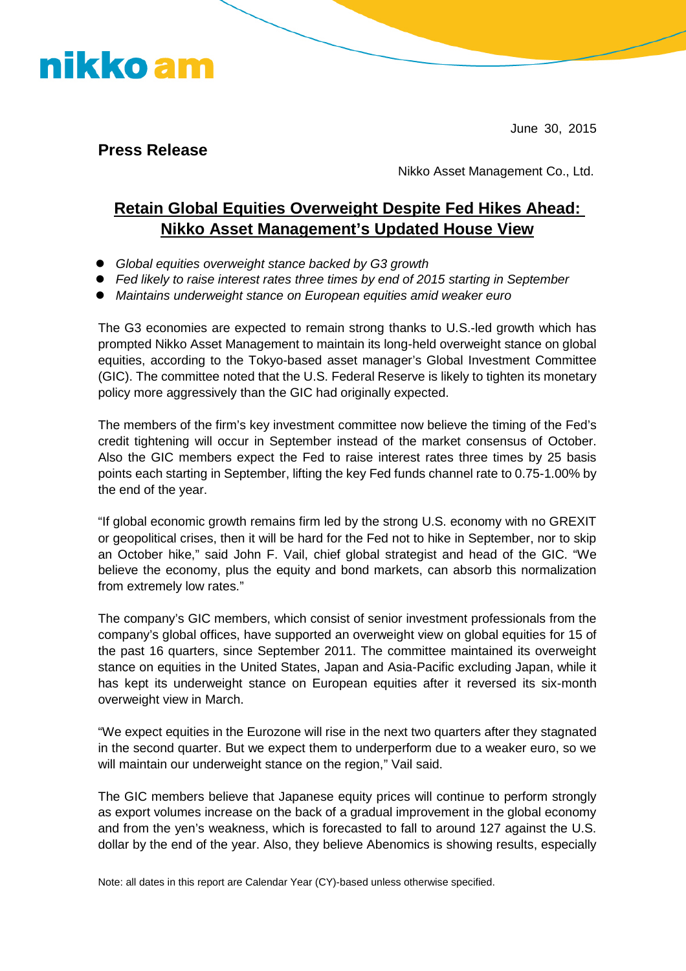

June 30, 2015

**Press Release**

Nikko Asset Management Co., Ltd.

## **Retain Global Equities Overweight Despite Fed Hikes Ahead: Nikko Asset Management's Updated House View**

- *Global equities overweight stance backed by G3 growth*
- *Fed likely to raise interest rates three times by end of 2015 starting in September*
- *Maintains underweight stance on European equities amid weaker euro*

The G3 economies are expected to remain strong thanks to U.S.-led growth which has prompted Nikko Asset Management to maintain its long-held overweight stance on global equities, according to the Tokyo-based asset manager's Global Investment Committee (GIC). The committee noted that the U.S. Federal Reserve is likely to tighten its monetary policy more aggressively than the GIC had originally expected.

The members of the firm's key investment committee now believe the timing of the Fed's credit tightening will occur in September instead of the market consensus of October. Also the GIC members expect the Fed to raise interest rates three times by 25 basis points each starting in September, lifting the key Fed funds channel rate to 0.75-1.00% by the end of the year.

"If global economic growth remains firm led by the strong U.S. economy with no GREXIT or geopolitical crises, then it will be hard for the Fed not to hike in September, nor to skip an October hike," said John F. Vail, chief global strategist and head of the GIC. "We believe the economy, plus the equity and bond markets, can absorb this normalization from extremely low rates."

The company's GIC members, which consist of senior investment professionals from the company's global offices, have supported an overweight view on global equities for 15 of the past 16 quarters, since September 2011. The committee maintained its overweight stance on equities in the United States, Japan and Asia-Pacific excluding Japan, while it has kept its underweight stance on European equities after it reversed its six-month overweight view in March.

"We expect equities in the Eurozone will rise in the next two quarters after they stagnated in the second quarter. But we expect them to underperform due to a weaker euro, so we will maintain our underweight stance on the region," Vail said.

The GIC members believe that Japanese equity prices will continue to perform strongly as export volumes increase on the back of a gradual improvement in the global economy and from the yen's weakness, which is forecasted to fall to around 127 against the U.S. dollar by the end of the year. Also, they believe Abenomics is showing results, especially

Note: all dates in this report are Calendar Year (CY)-based unless otherwise specified.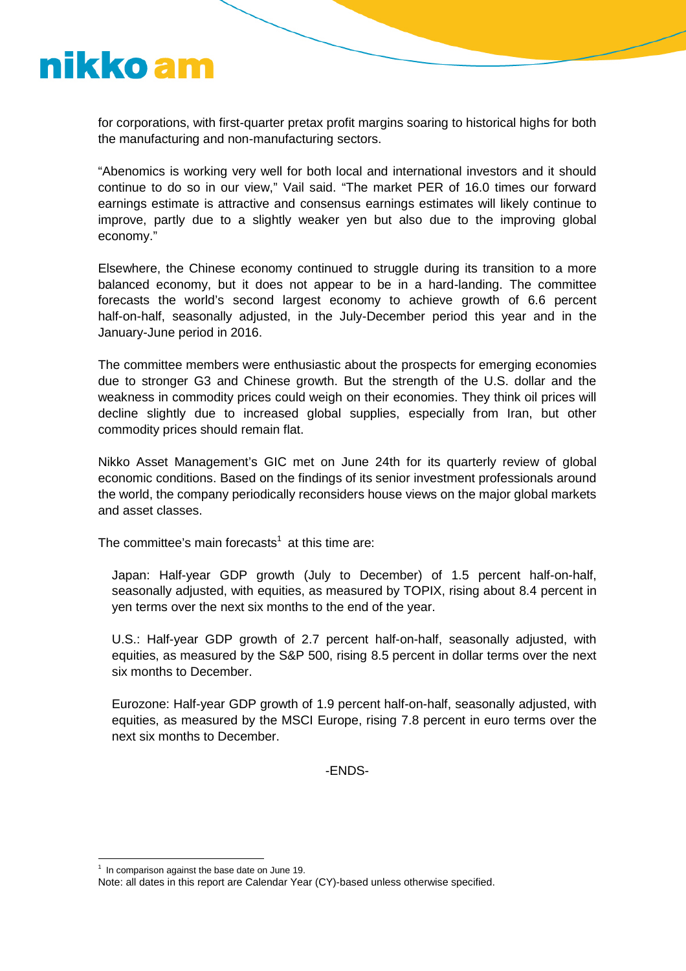

for corporations, with first-quarter pretax profit margins soaring to historical highs for both the manufacturing and non-manufacturing sectors.

"Abenomics is working very well for both local and international investors and it should continue to do so in our view," Vail said. "The market PER of 16.0 times our forward earnings estimate is attractive and consensus earnings estimates will likely continue to improve, partly due to a slightly weaker yen but also due to the improving global economy."

Elsewhere, the Chinese economy continued to struggle during its transition to a more balanced economy, but it does not appear to be in a hard-landing. The committee forecasts the world's second largest economy to achieve growth of 6.6 percent half-on-half, seasonally adjusted, in the July-December period this year and in the January-June period in 2016.

The committee members were enthusiastic about the prospects for emerging economies due to stronger G3 and Chinese growth. But the strength of the U.S. dollar and the weakness in commodity prices could weigh on their economies. They think oil prices will decline slightly due to increased global supplies, especially from Iran, but other commodity prices should remain flat.

Nikko Asset Management's GIC met on June 24th for its quarterly review of global economic conditions. Based on the findings of its senior investment professionals around the world, the company periodically reconsiders house views on the major global markets and asset classes.

The committee's main forecasts<sup>1</sup> at this time are:

Japan: Half-year GDP growth (July to December) of 1.5 percent half-on-half, seasonally adjusted, with equities, as measured by TOPIX, rising about 8.4 percent in yen terms over the next six months to the end of the year.

U.S.: Half-year GDP growth of 2.7 percent half-on-half, seasonally adjusted, with equities, as measured by the S&P 500, rising 8.5 percent in dollar terms over the next six months to December.

Eurozone: Half-year GDP growth of 1.9 percent half-on-half, seasonally adjusted, with equities, as measured by the MSCI Europe, rising 7.8 percent in euro terms over the next six months to December.

-ENDS-

 $<sup>1</sup>$  In comparison against the base date on June 19.</sup>

Note: all dates in this report are Calendar Year (CY)-based unless otherwise specified.